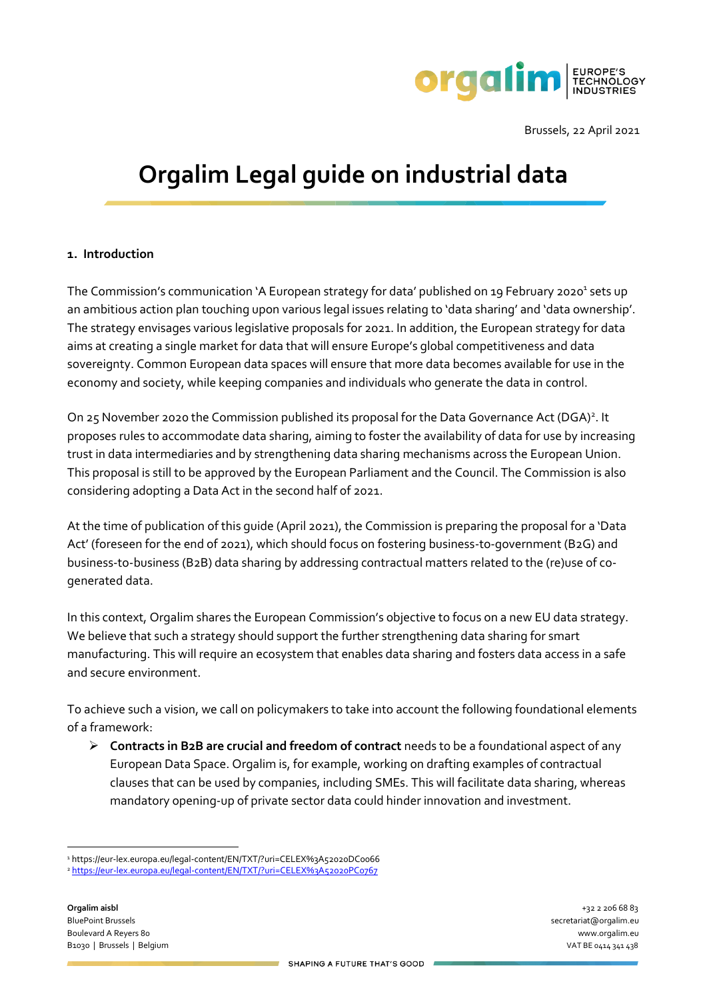

Brussels, 22 April 2021

# **Orgalim Legal guide on industrial data**

### **1. Introduction**

The Commission's communication `A European strategy for data' published on 19 February 2020<sup>1</sup> sets up an ambitious action plan touching upon various legal issues relating to 'data sharing' and 'data ownership'. The strategy envisages various legislative proposals for 2021. In addition, the European strategy for data aims at creating a single market for data that will ensure Europe's global competitiveness and data sovereignty. Common European data spaces will ensure that more data becomes available for use in the economy and society, while keeping companies and individuals who generate the data in control.

On 25 November 2020 the Commission published its proposal for the Data Governance Act (DGA)<sup>2</sup>. It proposes rules to accommodate data sharing, aiming to foster the availability of data for use by increasing trust in data intermediaries and by strengthening data sharing mechanisms across the European Union. This proposal is still to be approved by the European Parliament and the Council. The Commission is also considering adopting a Data Act in the second half of 2021.

At the time of publication of this guide (April 2021), the Commission is preparing the proposal for a 'Data Act' (foreseen for the end of 2021), which should focus on fostering business-to-government (B2G) and business-to-business (B2B) data sharing by addressing contractual matters related to the (re)use of cogenerated data.

In this context, Orgalim shares the European Commission's objective to focus on a new EU data strategy. We believe that such a strategy should support the further strengthening data sharing for smart manufacturing. This will require an ecosystem that enables data sharing and fosters data access in a safe and secure environment.

To achieve such a vision, we call on policymakers to take into account the following foundational elements of a framework:

➢ **Contracts in B2B are crucial and freedom of contract** needs to be a foundational aspect of any European Data Space. Orgalim is, for example, working on drafting examples of contractual clauses that can be used by companies, including SMEs. This will facilitate data sharing, whereas mandatory opening-up of private sector data could hinder innovation and investment.

<sup>1</sup> https://eur-lex.europa.eu/legal-content/EN/TXT/?uri=CELEX%3A52020DC0066

<sup>2</sup> <https://eur-lex.europa.eu/legal-content/EN/TXT/?uri=CELEX%3A52020PC0767>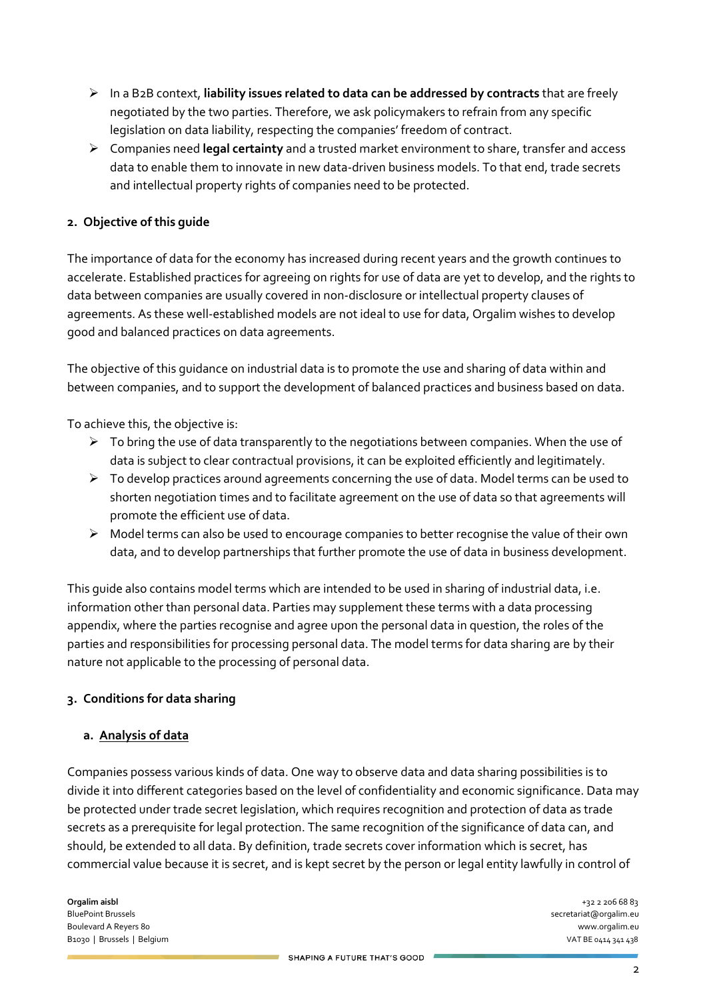- ➢ In a B2B context, **liability issues related to data can be addressed by contracts** that are freely negotiated by the two parties. Therefore, we ask policymakers to refrain from any specific legislation on data liability, respecting the companies' freedom of contract.
- ➢ Companies need **legal certainty** and a trusted market environment to share, transfer and access data to enable them to innovate in new data-driven business models. To that end, trade secrets and intellectual property rights of companies need to be protected.

## **2. Objective of this guide**

The importance of data for the economy has increased during recent years and the growth continues to accelerate. Established practices for agreeing on rights for use of data are yet to develop, and the rights to data between companies are usually covered in non-disclosure or intellectual property clauses of agreements. As these well-established models are not ideal to use for data, Orgalim wishes to develop good and balanced practices on data agreements.

The objective of this guidance on industrial data is to promote the use and sharing of data within and between companies, and to support the development of balanced practices and business based on data.

To achieve this, the objective is:

- $\triangleright$  To bring the use of data transparently to the negotiations between companies. When the use of data is subject to clear contractual provisions, it can be exploited efficiently and legitimately.
- $\triangleright$  To develop practices around agreements concerning the use of data. Model terms can be used to shorten negotiation times and to facilitate agreement on the use of data so that agreements will promote the efficient use of data.
- $\triangleright$  Model terms can also be used to encourage companies to better recognise the value of their own data, and to develop partnerships that further promote the use of data in business development.

This guide also contains model terms which are intended to be used in sharing of industrial data, i.e. information other than personal data. Parties may supplement these terms with a data processing appendix, where the parties recognise and agree upon the personal data in question, the roles of the parties and responsibilities for processing personal data. The model terms for data sharing are by their nature not applicable to the processing of personal data.

### **3. Conditions for data sharing**

#### **a. Analysis of data**

Companies possess various kinds of data. One way to observe data and data sharing possibilities is to divide it into different categories based on the level of confidentiality and economic significance. Data may be protected under trade secret legislation, which requires recognition and protection of data as trade secrets as a prerequisite for legal protection. The same recognition of the significance of data can, and should, be extended to all data. By definition, trade secrets cover information which is secret, has commercial value because it is secret, and is kept secret by the person or legal entity lawfully in control of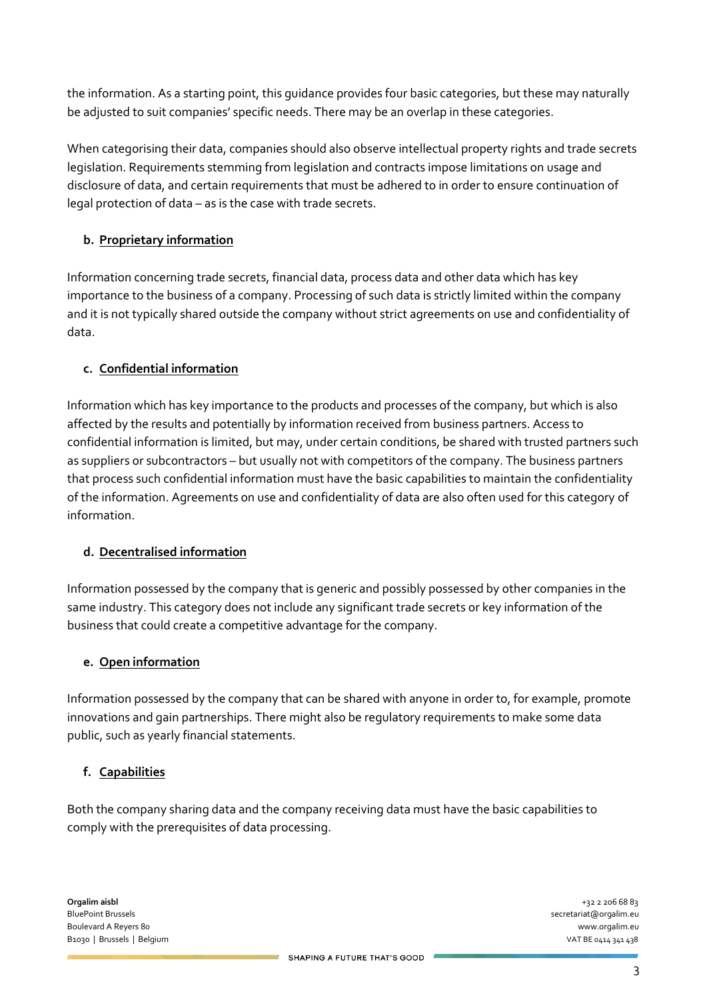the information. As a starting point, this guidance provides four basic categories, but these may naturally be adjusted to suit companies' specific needs. There may be an overlap in these categories.

When categorising their data, companies should also observe intellectual property rights and trade secrets legislation. Requirements stemming from legislation and contracts impose limitations on usage and disclosure of data, and certain requirements that must be adhered to in order to ensure continuation of legal protection of data – as is the case with trade secrets.

# **b. Proprietary information**

Information concerning trade secrets, financial data, process data and other data which has key importance to the business of a company. Processing of such data is strictly limited within the company and it is not typically shared outside the company without strict agreements on use and confidentiality of data.

## **c. Confidential information**

Information which has key importance to the products and processes of the company, but which is also affected by the results and potentially by information received from business partners. Access to confidential information is limited, but may, under certain conditions, be shared with trusted partners such as suppliers or subcontractors – but usually not with competitors of the company. The business partners that process such confidential information must have the basic capabilities to maintain the confidentiality of the information. Agreements on use and confidentiality of data are also often used for this category of information.

### **d. Decentralised information**

Information possessed by the company that is generic and possibly possessed by other companies in the same industry. This category does not include any significant trade secrets or key information of the business that could create a competitive advantage for the company.

### **e. Open information**

Information possessed by the company that can be shared with anyone in order to, for example, promote innovations and gain partnerships. There might also be regulatory requirements to make some data public, such as yearly financial statements.

### **f. Capabilities**

Both the company sharing data and the company receiving data must have the basic capabilities to comply with the prerequisites of data processing.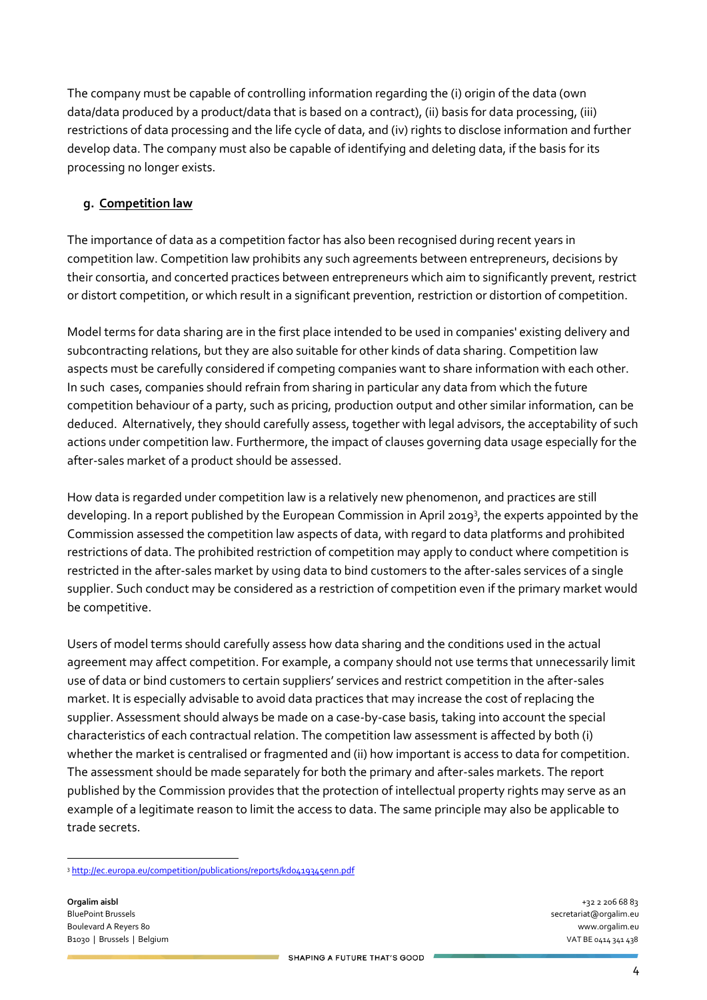The company must be capable of controlling information regarding the (i) origin of the data (own data/data produced by a product/data that is based on a contract), (ii) basis for data processing, (iii) restrictions of data processing and the life cycle of data, and (iv) rights to disclose information and further develop data. The company must also be capable of identifying and deleting data, if the basis for its processing no longer exists.

# **g. Competition law**

The importance of data as a competition factor has also been recognised during recent years in competition law. Competition law prohibits any such agreements between entrepreneurs, decisions by their consortia, and concerted practices between entrepreneurs which aim to significantly prevent, restrict or distort competition, or which result in a significant prevention, restriction or distortion of competition.

Model terms for data sharing are in the first place intended to be used in companies' existing delivery and subcontracting relations, but they are also suitable for other kinds of data sharing. Competition law aspects must be carefully considered if competing companies want to share information with each other. In such cases, companies should refrain from sharing in particular any data from which the future competition behaviour of a party, such as pricing, production output and other similar information, can be deduced. Alternatively, they should carefully assess, together with legal advisors, the acceptability of such actions under competition law. Furthermore, the impact of clauses governing data usage especially for the after-sales market of a product should be assessed.

How data is regarded under competition law is a relatively new phenomenon, and practices are still developing. In a report published by the European Commission in April 2019<sup>3</sup>, the experts appointed by the Commission assessed the competition law aspects of data, with regard to data platforms and prohibited restrictions of data. The prohibited restriction of competition may apply to conduct where competition is restricted in the after-sales market by using data to bind customers to the after-sales services of a single supplier. Such conduct may be considered as a restriction of competition even if the primary market would be competitive.

Users of model terms should carefully assess how data sharing and the conditions used in the actual agreement may affect competition. For example, a company should not use terms that unnecessarily limit use of data or bind customers to certain suppliers' services and restrict competition in the after-sales market. It is especially advisable to avoid data practices that may increase the cost of replacing the supplier. Assessment should always be made on a case-by-case basis, taking into account the special characteristics of each contractual relation. The competition law assessment is affected by both (i) whether the market is centralised or fragmented and (ii) how important is access to data for competition. The assessment should be made separately for both the primary and after-sales markets. The report published by the Commission provides that the protection of intellectual property rights may serve as an example of a legitimate reason to limit the access to data. The same principle may also be applicable to trade secrets.

<sup>3</sup> http://ec.europa.eu/competition/publications/reports/kdo419345enn.pdf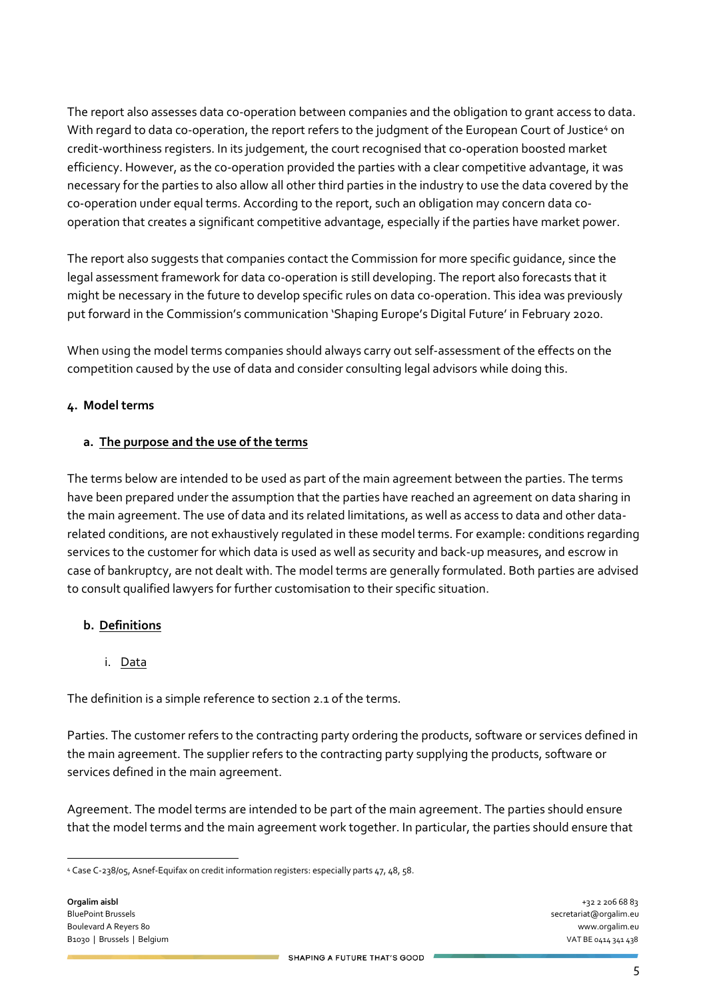The report also assesses data co-operation between companies and the obligation to grant access to data. With regard to data co-operation, the report refers to the judgment of the European Court of Justice<sup>4</sup> on credit-worthiness registers. In its judgement, the court recognised that co-operation boosted market efficiency. However, as the co-operation provided the parties with a clear competitive advantage, it was necessary for the parties to also allow all other third parties in the industry to use the data covered by the co-operation under equal terms. According to the report, such an obligation may concern data cooperation that creates a significant competitive advantage, especially if the parties have market power.

The report also suggests that companies contact the Commission for more specific guidance, since the legal assessment framework for data co-operation is still developing. The report also forecasts that it might be necessary in the future to develop specific rules on data co-operation. This idea was previously put forward in the Commission's communication 'Shaping Europe's Digital Future' in February 2020.

When using the model terms companies should always carry out self-assessment of the effects on the competition caused by the use of data and consider consulting legal advisors while doing this.

## **4. Model terms**

## **a. The purpose and the use of the terms**

The terms below are intended to be used as part of the main agreement between the parties. The terms have been prepared under the assumption that the parties have reached an agreement on data sharing in the main agreement. The use of data and its related limitations, as well as access to data and other datarelated conditions, are not exhaustively regulated in these model terms. For example: conditions regarding services to the customer for which data is used as well as security and back-up measures, and escrow in case of bankruptcy, are not dealt with. The model terms are generally formulated. Both parties are advised to consult qualified lawyers for further customisation to their specific situation.

### **b. Definitions**

### i. Data

The definition is a simple reference to section 2.1 of the terms.

Parties. The customer refers to the contracting party ordering the products, software or services defined in the main agreement. The supplier refers to the contracting party supplying the products, software or services defined in the main agreement.

Agreement. The model terms are intended to be part of the main agreement. The parties should ensure that the model terms and the main agreement work together. In particular, the parties should ensure that

<sup>4</sup> Case C-238/05, Asnef-Equifax on credit information registers: especially parts 47, 48, 58.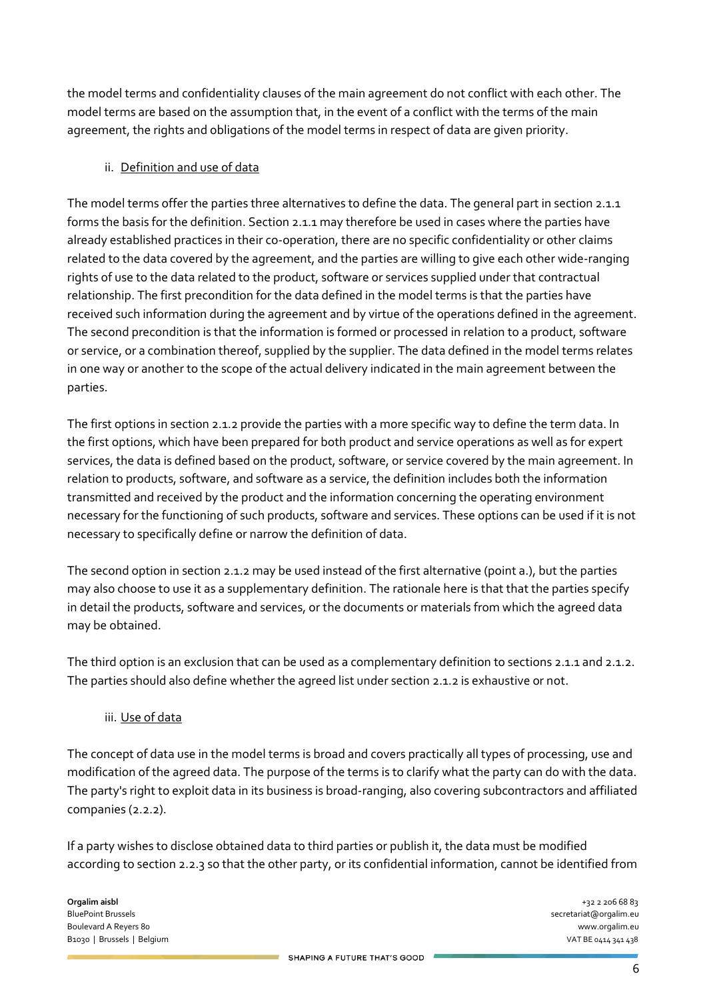the model terms and confidentiality clauses of the main agreement do not conflict with each other. The model terms are based on the assumption that, in the event of a conflict with the terms of the main agreement, the rights and obligations of the model terms in respect of data are given priority.

## ii. Definition and use of data

The model terms offer the parties three alternatives to define the data. The general part in section 2.1.1 forms the basis for the definition. Section 2.1.1 may therefore be used in cases where the parties have already established practices in their co-operation, there are no specific confidentiality or other claims related to the data covered by the agreement, and the parties are willing to give each other wide-ranging rights of use to the data related to the product, software or services supplied under that contractual relationship. The first precondition for the data defined in the model terms is that the parties have received such information during the agreement and by virtue of the operations defined in the agreement. The second precondition is that the information is formed or processed in relation to a product, software or service, or a combination thereof, supplied by the supplier. The data defined in the model terms relates in one way or another to the scope of the actual delivery indicated in the main agreement between the parties.

The first options in section 2.1.2 provide the parties with a more specific way to define the term data. In the first options, which have been prepared for both product and service operations as well as for expert services, the data is defined based on the product, software, or service covered by the main agreement. In relation to products, software, and software as a service, the definition includes both the information transmitted and received by the product and the information concerning the operating environment necessary for the functioning of such products, software and services. These options can be used if it is not necessary to specifically define or narrow the definition of data.

The second option in section 2.1.2 may be used instead of the first alternative (point a.), but the parties may also choose to use it as a supplementary definition. The rationale here is that that the parties specify in detail the products, software and services, or the documents or materials from which the agreed data may be obtained.

The third option is an exclusion that can be used as a complementary definition to sections 2.1.1 and 2.1.2. The parties should also define whether the agreed list under section 2.1.2 is exhaustive or not.

### iii. Use of data

The concept of data use in the model terms is broad and covers practically all types of processing, use and modification of the agreed data. The purpose of the terms is to clarify what the party can do with the data. The party's right to exploit data in its business is broad-ranging, also covering subcontractors and affiliated companies (2.2.2).

If a party wishes to disclose obtained data to third parties or publish it, the data must be modified according to section 2.2.3 so that the other party, or its confidential information, cannot be identified from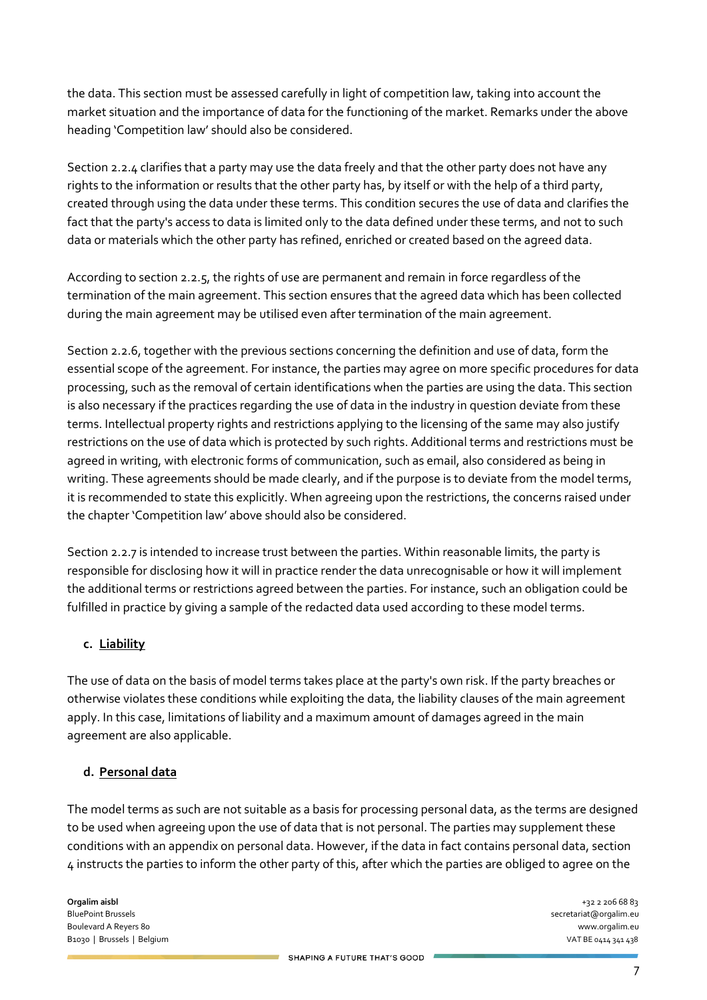the data. This section must be assessed carefully in light of competition law, taking into account the market situation and the importance of data for the functioning of the market. Remarks under the above heading 'Competition law' should also be considered.

Section 2.2.4 clarifies that a party may use the data freely and that the other party does not have any rights to the information or results that the other party has, by itself or with the help of a third party, created through using the data under these terms. This condition secures the use of data and clarifies the fact that the party's access to data is limited only to the data defined under these terms, and not to such data or materials which the other party has refined, enriched or created based on the agreed data.

According to section 2.2.5, the rights of use are permanent and remain in force regardless of the termination of the main agreement. This section ensures that the agreed data which has been collected during the main agreement may be utilised even after termination of the main agreement.

Section 2.2.6, together with the previous sections concerning the definition and use of data, form the essential scope of the agreement. For instance, the parties may agree on more specific procedures for data processing, such as the removal of certain identifications when the parties are using the data. This section is also necessary if the practices regarding the use of data in the industry in question deviate from these terms. Intellectual property rights and restrictions applying to the licensing of the same may also justify restrictions on the use of data which is protected by such rights. Additional terms and restrictions must be agreed in writing, with electronic forms of communication, such as email, also considered as being in writing. These agreements should be made clearly, and if the purpose is to deviate from the model terms, it is recommended to state this explicitly. When agreeing upon the restrictions, the concerns raised under the chapter 'Competition law' above should also be considered.

Section 2.2.7 is intended to increase trust between the parties. Within reasonable limits, the party is responsible for disclosing how it will in practice render the data unrecognisable or how it will implement the additional terms or restrictions agreed between the parties. For instance, such an obligation could be fulfilled in practice by giving a sample of the redacted data used according to these model terms.

## **c. Liability**

The use of data on the basis of model terms takes place at the party's own risk. If the party breaches or otherwise violates these conditions while exploiting the data, the liability clauses of the main agreement apply. In this case, limitations of liability and a maximum amount of damages agreed in the main agreement are also applicable.

### **d. Personal data**

The model terms as such are not suitable as a basis for processing personal data, as the terms are designed to be used when agreeing upon the use of data that is not personal. The parties may supplement these conditions with an appendix on personal data. However, if the data in fact contains personal data, section 4 instructs the parties to inform the other party of this, after which the parties are obliged to agree on the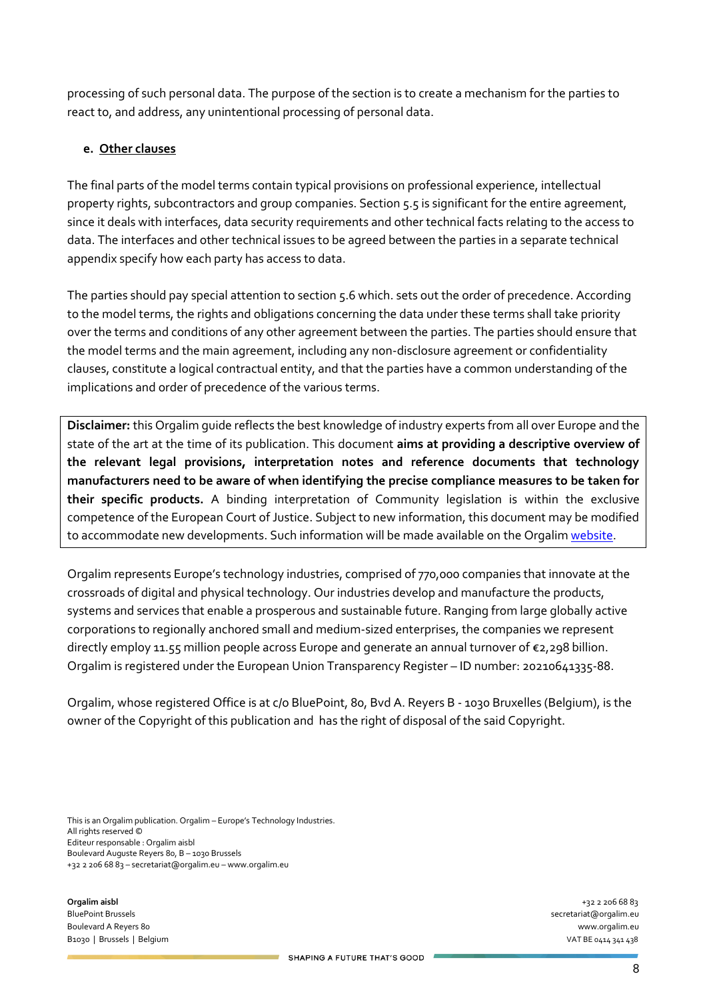processing of such personal data. The purpose of the section is to create a mechanism for the parties to react to, and address, any unintentional processing of personal data.

## **e. Other clauses**

The final parts of the model terms contain typical provisions on professional experience, intellectual property rights, subcontractors and group companies. Section 5.5 is significant for the entire agreement, since it deals with interfaces, data security requirements and other technical facts relating to the access to data. The interfaces and other technical issues to be agreed between the parties in a separate technical appendix specify how each party has access to data.

The parties should pay special attention to section 5.6 which. sets out the order of precedence. According to the model terms, the rights and obligations concerning the data under these terms shall take priority over the terms and conditions of any other agreement between the parties. The parties should ensure that the model terms and the main agreement, including any non-disclosure agreement or confidentiality clauses, constitute a logical contractual entity, and that the parties have a common understanding of the implications and order of precedence of the various terms.

**Disclaimer:** this Orgalim guide reflects the best knowledge of industry experts from all over Europe and the state of the art at the time of its publication. This document **aims at providing a descriptive overview of the relevant legal provisions, interpretation notes and reference documents that technology manufacturers need to be aware of when identifying the precise compliance measures to be taken for their specific products.** A binding interpretation of Community legislation is within the exclusive competence of the European Court of Justice. Subject to new information, this document may be modified to accommodate new developments. Such information will be made available on the Orgali[m website.](https://orgalim.eu/position-papers/trade-orgalim-position-paper-world-trade-organisation-wto)

Orgalim represents Europe's technology industries, comprised of 770,000 companies that innovate at the crossroads of digital and physical technology. Our industries develop and manufacture the products, systems and services that enable a prosperous and sustainable future. Ranging from large globally active corporations to regionally anchored small and medium-sized enterprises, the companies we represent directly employ 11.55 million people across Europe and generate an annual turnover of €2,298 billion. Orgalim is registered under the European Union Transparency Register – ID number: 20210641335-88.

Orgalim, whose registered Office is at c/o BluePoint, 80, Bvd A. Reyers B - 1030 Bruxelles (Belgium), is the owner of the Copyright of this publication and has the right of disposal of the said Copyright.

This is an Orgalim publication. Orgalim – Europe's Technology Industries. All rights reserved © Editeur responsable : Orgalim aisbl Boulevard Auguste Reyers 80, B – 1030 Brussels +32 2 206 68 83 – secretariat@orgalim.eu – www.orgalim.eu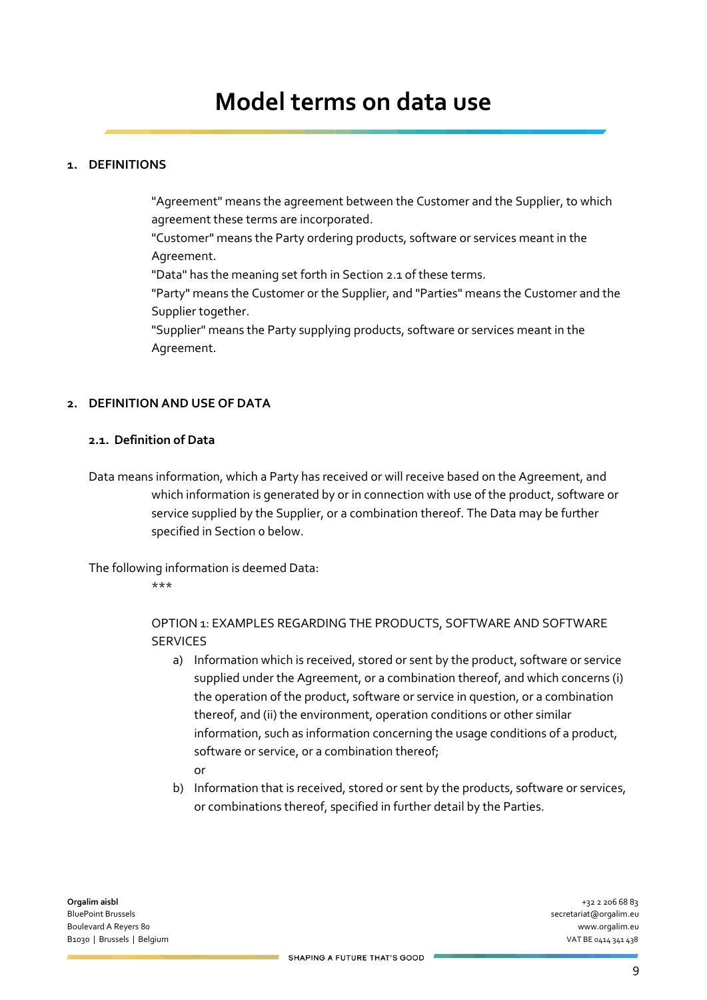## **1. DEFINITIONS**

"Agreement" means the agreement between the Customer and the Supplier, to which agreement these terms are incorporated.

"Customer" means the Party ordering products, software or services meant in the Agreement.

"Data" has the meaning set forth in Sectio[n 2.1](#page-8-0) of these terms.

"Party" means the Customer or the Supplier, and "Parties" means the Customer and the Supplier together.

"Supplier" means the Party supplying products, software or services meant in the Agreement.

### **2. DEFINITION AND USE OF DATA**

### <span id="page-8-0"></span>**2.1. Definition of Data**

Data means information, which a Party has received or will receive based on the Agreement, and which information is generated by or in connection with use of the product, software or service supplied by the Supplier, or a combination thereof. The Data may be further specified in Sectio[n 0](#page-8-1) below.

<span id="page-8-1"></span>The following information is deemed Data:

\*\*\*

OPTION 1: EXAMPLES REGARDING THE PRODUCTS, SOFTWARE AND SOFTWARE **SERVICES** 

- a) Information which is received, stored or sent by the product, software or service supplied under the Agreement, or a combination thereof, and which concerns (i) the operation of the product, software or service in question, or a combination thereof, and (ii) the environment, operation conditions or other similar information, such as information concerning the usage conditions of a product, software or service, or a combination thereof; or
- b) Information that is received, stored or sent by the products, software or services, or combinations thereof, specified in further detail by the Parties.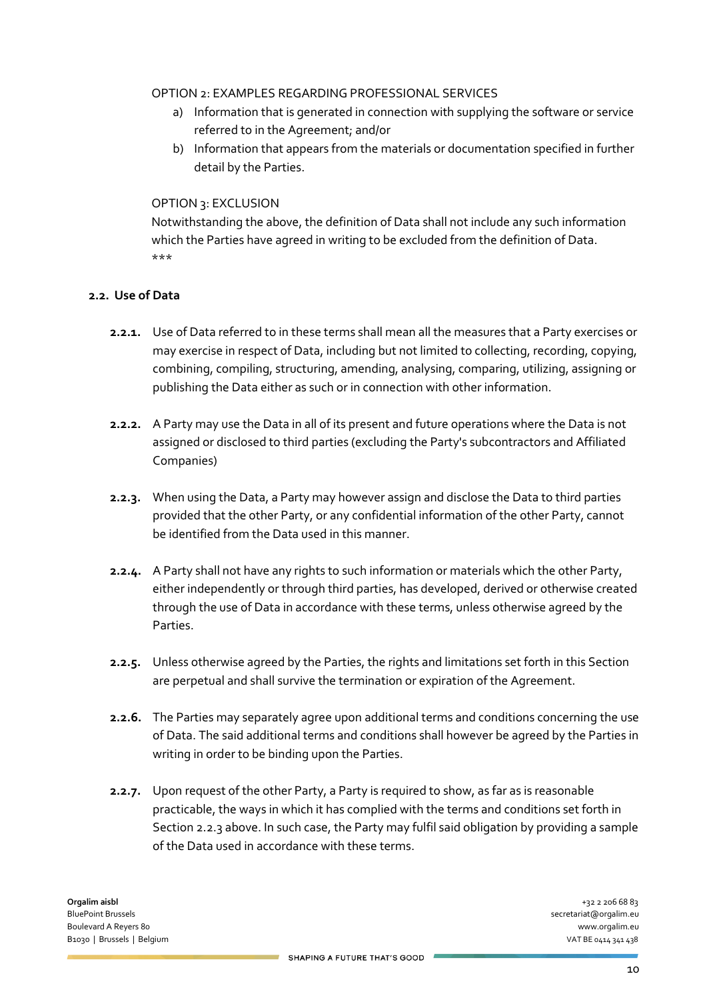#### OPTION 2: EXAMPLES REGARDING PROFESSIONAL SERVICES

- a) Information that is generated in connection with supplying the software or service referred to in the Agreement; and/or
- b) Information that appears from the materials or documentation specified in further detail by the Parties.

### OPTION 3: EXCLUSION

Notwithstanding the above, the definition of Data shall not include any such information which the Parties have agreed in writing to be excluded from the definition of Data. \*\*\*

## **2.2. Use of Data**

- **2.2.1.** Use of Data referred to in these terms shall mean all the measures that a Party exercises or may exercise in respect of Data, including but not limited to collecting, recording, copying, combining, compiling, structuring, amending, analysing, comparing, utilizing, assigning or publishing the Data either as such or in connection with other information.
- **2.2.2.** A Party may use the Data in all of its present and future operations where the Data is not assigned or disclosed to third parties (excluding the Party's subcontractors and Affiliated Companies)
- <span id="page-9-0"></span>**2.2.3.** When using the Data, a Party may however assign and disclose the Data to third parties provided that the other Party, or any confidential information of the other Party, cannot be identified from the Data used in this manner.
- **2.2.4.** A Party shall not have any rights to such information or materials which the other Party, either independently or through third parties, has developed, derived or otherwise created through the use of Data in accordance with these terms, unless otherwise agreed by the Parties.
- **2.2.5.** Unless otherwise agreed by the Parties, the rights and limitations set forth in this Section are perpetual and shall survive the termination or expiration of the Agreement.
- **2.2.6.** The Parties may separately agree upon additional terms and conditions concerning the use of Data. The said additional terms and conditions shall however be agreed by the Parties in writing in order to be binding upon the Parties.
- **2.2.7.** Upon request of the other Party, a Party is required to show, as far as is reasonable practicable, the ways in which it has complied with the terms and conditions set forth in Sectio[n 2.2.3](#page-9-0) above. In such case, the Party may fulfil said obligation by providing a sample of the Data used in accordance with these terms.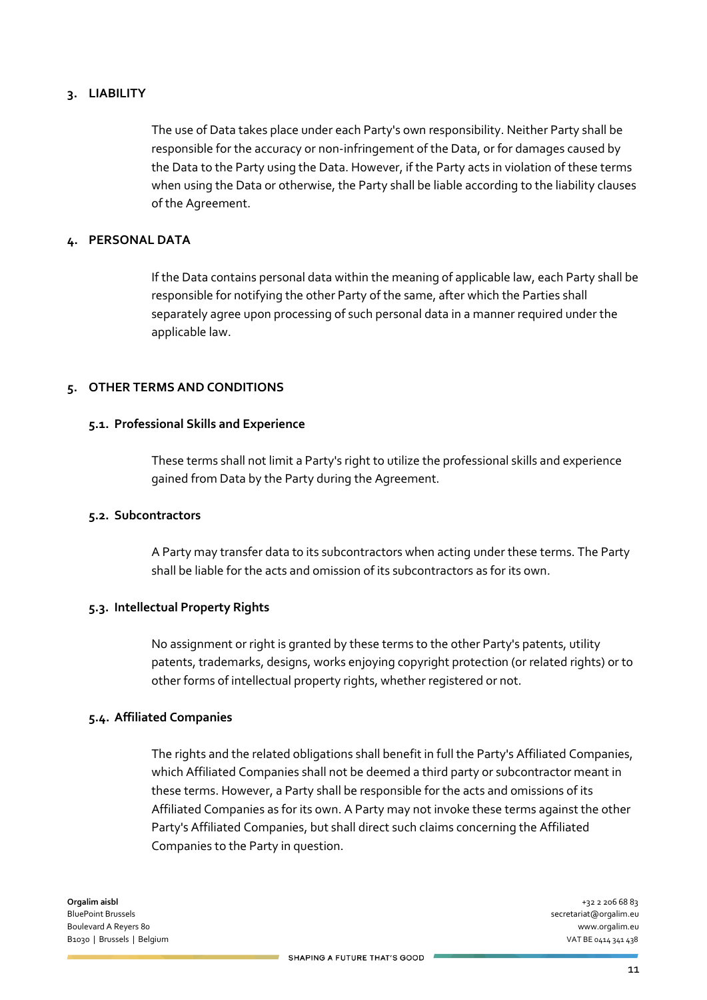#### **3. LIABILITY**

The use of Data takes place under each Party's own responsibility. Neither Party shall be responsible for the accuracy or non-infringement of the Data, or for damages caused by the Data to the Party using the Data. However, if the Party acts in violation of these terms when using the Data or otherwise, the Party shall be liable according to the liability clauses of the Agreement.

#### **4. PERSONAL DATA**

If the Data contains personal data within the meaning of applicable law, each Party shall be responsible for notifying the other Party of the same, after which the Parties shall separately agree upon processing of such personal data in a manner required under the applicable law.

#### **5. OTHER TERMS AND CONDITIONS**

#### **5.1. Professional Skills and Experience**

These terms shall not limit a Party's right to utilize the professional skills and experience gained from Data by the Party during the Agreement.

#### **5.2. Subcontractors**

A Party may transfer data to its subcontractors when acting under these terms. The Party shall be liable for the acts and omission of its subcontractors as for its own.

#### **5.3. Intellectual Property Rights**

No assignment or right is granted by these terms to the other Party's patents, utility patents, trademarks, designs, works enjoying copyright protection (or related rights) or to other forms of intellectual property rights, whether registered or not.

#### **5.4. Affiliated Companies**

The rights and the related obligations shall benefit in full the Party's Affiliated Companies, which Affiliated Companies shall not be deemed a third party or subcontractor meant in these terms. However, a Party shall be responsible for the acts and omissions of its Affiliated Companies as for its own. A Party may not invoke these terms against the other Party's Affiliated Companies, but shall direct such claims concerning the Affiliated Companies to the Party in question.